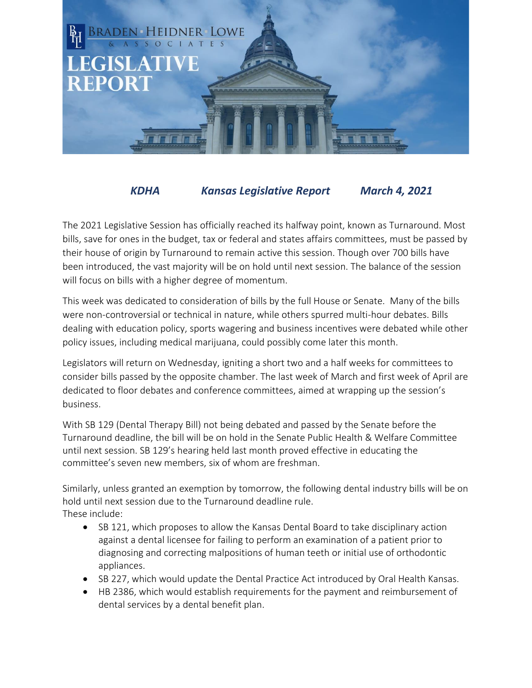

## *KDHA Kansas Legislative Report March 4, 2021*

The 2021 Legislative Session has officially reached its halfway point, known as Turnaround. Most bills, save for ones in the budget, tax or federal and states affairs committees, must be passed by their house of origin by Turnaround to remain active this session. Though over 700 bills have been introduced, the vast majority will be on hold until next session. The balance of the session will focus on bills with a higher degree of momentum.

This week was dedicated to consideration of bills by the full House or Senate. Many of the bills were non-controversial or technical in nature, while others spurred multi-hour debates. Bills dealing with education policy, sports wagering and business incentives were debated while other policy issues, including medical marijuana, could possibly come later this month.

Legislators will return on Wednesday, igniting a short two and a half weeks for committees to consider bills passed by the opposite chamber. The last week of March and first week of April are dedicated to floor debates and conference committees, aimed at wrapping up the session's business.

With SB 129 (Dental Therapy Bill) not being debated and passed by the Senate before the Turnaround deadline, the bill will be on hold in the Senate Public Health & Welfare Committee until next session. SB 129's hearing held last month proved effective in educating the committee's seven new members, six of whom are freshman.

Similarly, unless granted an exemption by tomorrow, the following dental industry bills will be on hold until next session due to the Turnaround deadline rule. These include:

- SB 121, which proposes to allow the Kansas Dental Board to take disciplinary action against a dental licensee for failing to perform an examination of a patient prior to diagnosing and correcting malpositions of human teeth or initial use of orthodontic appliances.
- SB 227, which would update the Dental Practice Act introduced by Oral Health Kansas.
- HB 2386, which would establish requirements for the payment and reimbursement of dental services by a dental benefit plan.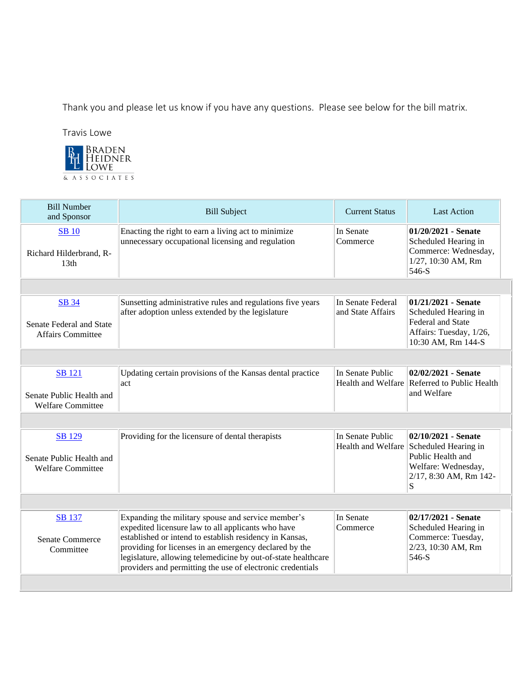Thank you and please let us know if you have any questions. Please see below for the bill matrix.

Travis Lowe



| <b>Bill Number</b><br>and Sponsor                                     | <b>Bill Subject</b>                                                                                                                                                                                                                                                                                                                                          | <b>Current Status</b>                  | <b>Last Action</b>                                                                                                                        |  |
|-----------------------------------------------------------------------|--------------------------------------------------------------------------------------------------------------------------------------------------------------------------------------------------------------------------------------------------------------------------------------------------------------------------------------------------------------|----------------------------------------|-------------------------------------------------------------------------------------------------------------------------------------------|--|
| <b>SB</b> 10<br>Richard Hilderbrand, R-<br>13 <sub>th</sub>           | Enacting the right to earn a living act to minimize<br>unnecessary occupational licensing and regulation                                                                                                                                                                                                                                                     | In Senate<br>Commerce                  | $01/20/2021$ - Senate<br>Scheduled Hearing in<br>Commerce: Wednesday,<br>1/27, 10:30 AM, Rm<br>546-S                                      |  |
|                                                                       |                                                                                                                                                                                                                                                                                                                                                              |                                        |                                                                                                                                           |  |
| <b>SB</b> 34<br>Senate Federal and State<br><b>Affairs Committee</b>  | Sunsetting administrative rules and regulations five years<br>after adoption unless extended by the legislature                                                                                                                                                                                                                                              | In Senate Federal<br>and State Affairs | $01/21/2021$ - Senate<br>Scheduled Hearing in<br><b>Federal and State</b><br>Affairs: Tuesday, 1/26,<br>10:30 AM, Rm 144-S                |  |
|                                                                       |                                                                                                                                                                                                                                                                                                                                                              |                                        |                                                                                                                                           |  |
| <b>SB</b> 121<br>Senate Public Health and<br><b>Welfare Committee</b> | Updating certain provisions of the Kansas dental practice<br>act                                                                                                                                                                                                                                                                                             | In Senate Public                       | 02/02/2021 - Senate<br>Health and Welfare Referred to Public Health<br>and Welfare                                                        |  |
|                                                                       |                                                                                                                                                                                                                                                                                                                                                              |                                        |                                                                                                                                           |  |
| SB 129<br>Senate Public Health and<br><b>Welfare Committee</b>        | Providing for the licensure of dental therapists                                                                                                                                                                                                                                                                                                             | In Senate Public                       | 02/10/2021 - Senate<br>Health and Welfare Scheduled Hearing in<br>Public Health and<br>Welfare: Wednesday,<br>2/17, 8:30 AM, Rm 142-<br>S |  |
|                                                                       |                                                                                                                                                                                                                                                                                                                                                              |                                        |                                                                                                                                           |  |
| SB 137<br><b>Senate Commerce</b><br>Committee                         | Expanding the military spouse and service member's<br>expedited licensure law to all applicants who have<br>established or intend to establish residency in Kansas,<br>providing for licenses in an emergency declared by the<br>legislature, allowing telemedicine by out-of-state healthcare<br>providers and permitting the use of electronic credentials | In Senate<br>Commerce                  | 02/17/2021 - Senate<br>Scheduled Hearing in<br>Commerce: Tuesday,<br>2/23, 10:30 AM, Rm<br>546-S                                          |  |